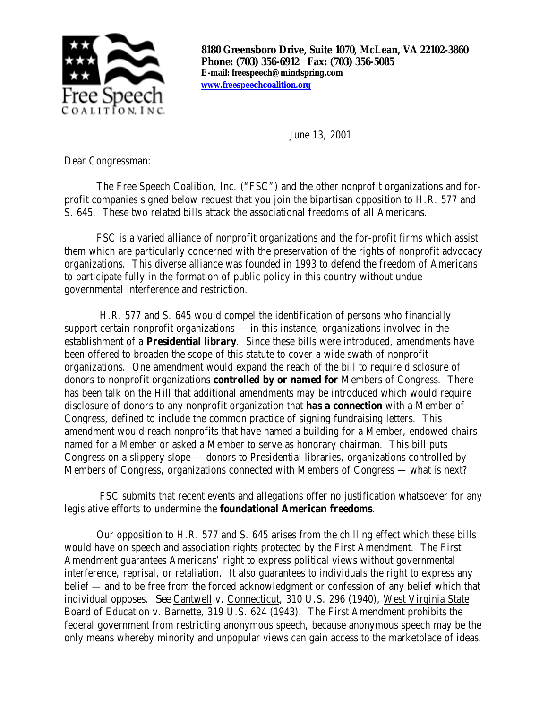

**8180 Greensboro Drive, Suite 1070, McLean, VA 22102-3860 Phone: (703) 356-6912 Fax: (703) 356-5085 E-mail: freespeech@mindspring.com www.freespeechcoalition.org**

June 13, 2001

Dear Congressman:

The Free Speech Coalition, Inc. ("FSC") and the other nonprofit organizations and forprofit companies signed below request that you join the bipartisan opposition to H.R. 577 and S. 645. These two related bills attack the associational freedoms of all Americans.

FSC is a varied alliance of nonprofit organizations and the for-profit firms which assist them which are particularly concerned with the preservation of the rights of nonprofit advocacy organizations. This diverse alliance was founded in 1993 to defend the freedom of Americans to participate fully in the formation of public policy in this country without undue governmental interference and restriction.

 H.R. 577 and S. 645 would compel the identification of persons who financially support certain nonprofit organizations — in this instance, organizations involved in the establishment of a **Presidential library**. Since these bills were introduced, amendments have been offered to broaden the scope of this statute to cover a wide swath of nonprofit organizations. One amendment would expand the reach of the bill to require disclosure of donors to nonprofit organizations **controlled by or named for** Members of Congress. There has been talk on the Hill that additional amendments may be introduced which would require disclosure of donors to any nonprofit organization that **has a connection** with a Member of Congress, defined to include the common practice of signing fundraising letters. This amendment would reach nonprofits that have named a building for a Member, endowed chairs named for a Member or asked a Member to serve as honorary chairman. This bill puts Congress on a slippery slope — donors to Presidential libraries, organizations controlled by Members of Congress, organizations connected with Members of Congress — what is next?

 FSC submits that recent events and allegations offer no justification whatsoever for any legislative efforts to undermine the **foundational American freedoms**.

Our opposition to H.R. 577 and S. 645 arises from the chilling effect which these bills would have on speech and association rights protected by the First Amendment. The First Amendment guarantees Americans' right to express political views without governmental interference, reprisal, or retaliation. It also guarantees to individuals the right to express any belief — and to be free from the forced acknowledgment or confession of any belief which that individual opposes. *See* Cantwell v. Connecticut, 310 U.S. 296 (1940), West Virginia State Board of Education v. Barnette, 319 U.S. 624 (1943). The First Amendment prohibits the federal government from restricting anonymous speech, because anonymous speech may be the only means whereby minority and unpopular views can gain access to the marketplace of ideas.